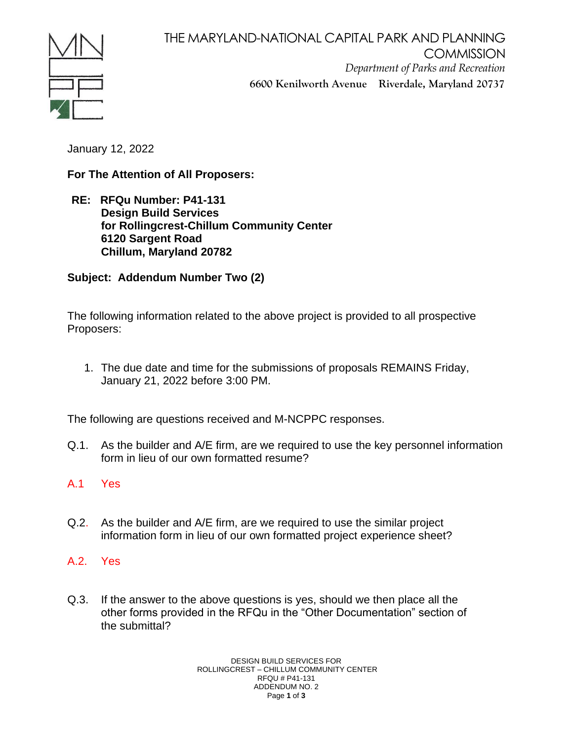

THE MARYLAND-NATIONAL CAPITAL PARK AND PLANNING **COMMISSION** *Department of Parks and Recreation* **6600 Kenilworth Avenue Riverdale, Maryland 20737**

January 12, 2022

**For The Attention of All Proposers:**

**RE: RFQu Number: P41-131 Design Build Services for Rollingcrest-Chillum Community Center 6120 Sargent Road Chillum, Maryland 20782**

**Subject: Addendum Number Two (2)** 

The following information related to the above project is provided to all prospective Proposers:

1. The due date and time for the submissions of proposals REMAINS Friday, January 21, 2022 before 3:00 PM.

The following are questions received and M-NCPPC responses.

- Q.1. As the builder and A/E firm, are we required to use the key personnel information form in lieu of our own formatted resume?
- A.1 Yes
- Q.2. As the builder and A/E firm, are we required to use the similar project information form in lieu of our own formatted project experience sheet?
- A.2. Yes
- Q.3. If the answer to the above questions is yes, should we then place all the other forms provided in the RFQu in the "Other Documentation" section of the submittal?

DESIGN BUILD SERVICES FOR ROLLINGCREST – CHILLUM COMMUNITY CENTER RFQU # P41-131 ADDENDUM NO. 2 Page **1** of **3**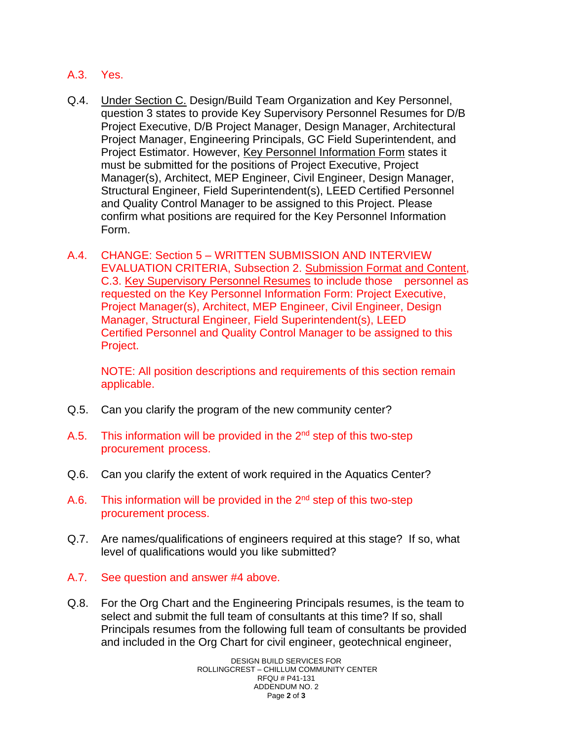- A.3. Yes.
- Q.4. Under Section C. Design/Build Team Organization and Key Personnel, question 3 states to provide Key Supervisory Personnel Resumes for D/B Project Executive, D/B Project Manager, Design Manager, Architectural Project Manager, Engineering Principals, GC Field Superintendent, and Project Estimator. However, Key Personnel Information Form states it must be submitted for the positions of Project Executive, Project Manager(s), Architect, MEP Engineer, Civil Engineer, Design Manager, Structural Engineer, Field Superintendent(s), LEED Certified Personnel and Quality Control Manager to be assigned to this Project. Please confirm what positions are required for the Key Personnel Information Form.
- A.4. CHANGE: Section 5 WRITTEN SUBMISSION AND INTERVIEW EVALUATION CRITERIA, Subsection 2. Submission Format and Content, C.3. Key Supervisory Personnel Resumes to include those personnel as requested on the Key Personnel Information Form: Project Executive, Project Manager(s), Architect, MEP Engineer, Civil Engineer, Design Manager, Structural Engineer, Field Superintendent(s), LEED Certified Personnel and Quality Control Manager to be assigned to this Project.

NOTE: All position descriptions and requirements of this section remain applicable.

- Q.5. Can you clarify the program of the new community center?
- A.5. This information will be provided in the  $2<sup>nd</sup>$  step of this two-step procurement process.
- Q.6. Can you clarify the extent of work required in the Aquatics Center?
- A.6. This information will be provided in the  $2<sup>nd</sup>$  step of this two-step procurement process.
- Q.7. Are names/qualifications of engineers required at this stage? If so, what level of qualifications would you like submitted?
- A.7. See question and answer #4 above.
- Q.8. For the Org Chart and the Engineering Principals resumes, is the team to select and submit the full team of consultants at this time? If so, shall Principals resumes from the following full team of consultants be provided and included in the Org Chart for civil engineer, geotechnical engineer,

DESIGN BUILD SERVICES FOR ROLLINGCREST – CHILLUM COMMUNITY CENTER RFQU # P41-131 ADDENDUM NO. 2 Page **2** of **3**